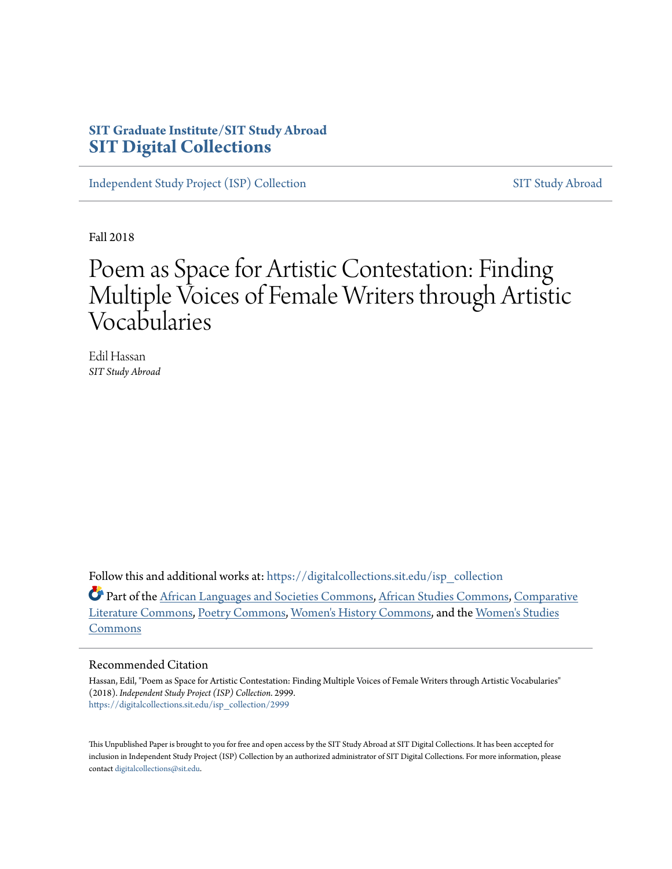## **SIT Graduate Institute/SIT Study Abroad [SIT Digital Collections](https://digitalcollections.sit.edu?utm_source=digitalcollections.sit.edu%2Fisp_collection%2F2999&utm_medium=PDF&utm_campaign=PDFCoverPages)**

[Independent Study Project \(ISP\) Collection](https://digitalcollections.sit.edu/isp_collection?utm_source=digitalcollections.sit.edu%2Fisp_collection%2F2999&utm_medium=PDF&utm_campaign=PDFCoverPages) [SIT Study Abroad](https://digitalcollections.sit.edu/study_abroad?utm_source=digitalcollections.sit.edu%2Fisp_collection%2F2999&utm_medium=PDF&utm_campaign=PDFCoverPages)

Fall 2018

# Poem as Space for Artistic Contestation: Finding Multiple Voices of Female Writers through Artistic Vocabularies

Edil Hassan *SIT Study Abroad*

Follow this and additional works at: [https://digitalcollections.sit.edu/isp\\_collection](https://digitalcollections.sit.edu/isp_collection?utm_source=digitalcollections.sit.edu%2Fisp_collection%2F2999&utm_medium=PDF&utm_campaign=PDFCoverPages)

Part of the [African Languages and Societies Commons](http://network.bepress.com/hgg/discipline/476?utm_source=digitalcollections.sit.edu%2Fisp_collection%2F2999&utm_medium=PDF&utm_campaign=PDFCoverPages), [African Studies Commons,](http://network.bepress.com/hgg/discipline/1043?utm_source=digitalcollections.sit.edu%2Fisp_collection%2F2999&utm_medium=PDF&utm_campaign=PDFCoverPages) [Comparative](http://network.bepress.com/hgg/discipline/454?utm_source=digitalcollections.sit.edu%2Fisp_collection%2F2999&utm_medium=PDF&utm_campaign=PDFCoverPages) [Literature Commons,](http://network.bepress.com/hgg/discipline/454?utm_source=digitalcollections.sit.edu%2Fisp_collection%2F2999&utm_medium=PDF&utm_campaign=PDFCoverPages) [Poetry Commons](http://network.bepress.com/hgg/discipline/1153?utm_source=digitalcollections.sit.edu%2Fisp_collection%2F2999&utm_medium=PDF&utm_campaign=PDFCoverPages), [Women's History Commons,](http://network.bepress.com/hgg/discipline/507?utm_source=digitalcollections.sit.edu%2Fisp_collection%2F2999&utm_medium=PDF&utm_campaign=PDFCoverPages) and the [Women's Studies](http://network.bepress.com/hgg/discipline/561?utm_source=digitalcollections.sit.edu%2Fisp_collection%2F2999&utm_medium=PDF&utm_campaign=PDFCoverPages) [Commons](http://network.bepress.com/hgg/discipline/561?utm_source=digitalcollections.sit.edu%2Fisp_collection%2F2999&utm_medium=PDF&utm_campaign=PDFCoverPages)

#### Recommended Citation

Hassan, Edil, "Poem as Space for Artistic Contestation: Finding Multiple Voices of Female Writers through Artistic Vocabularies" (2018). *Independent Study Project (ISP) Collection*. 2999. [https://digitalcollections.sit.edu/isp\\_collection/2999](https://digitalcollections.sit.edu/isp_collection/2999?utm_source=digitalcollections.sit.edu%2Fisp_collection%2F2999&utm_medium=PDF&utm_campaign=PDFCoverPages)

This Unpublished Paper is brought to you for free and open access by the SIT Study Abroad at SIT Digital Collections. It has been accepted for inclusion in Independent Study Project (ISP) Collection by an authorized administrator of SIT Digital Collections. For more information, please contact [digitalcollections@sit.edu](mailto:digitalcollections@sit.edu).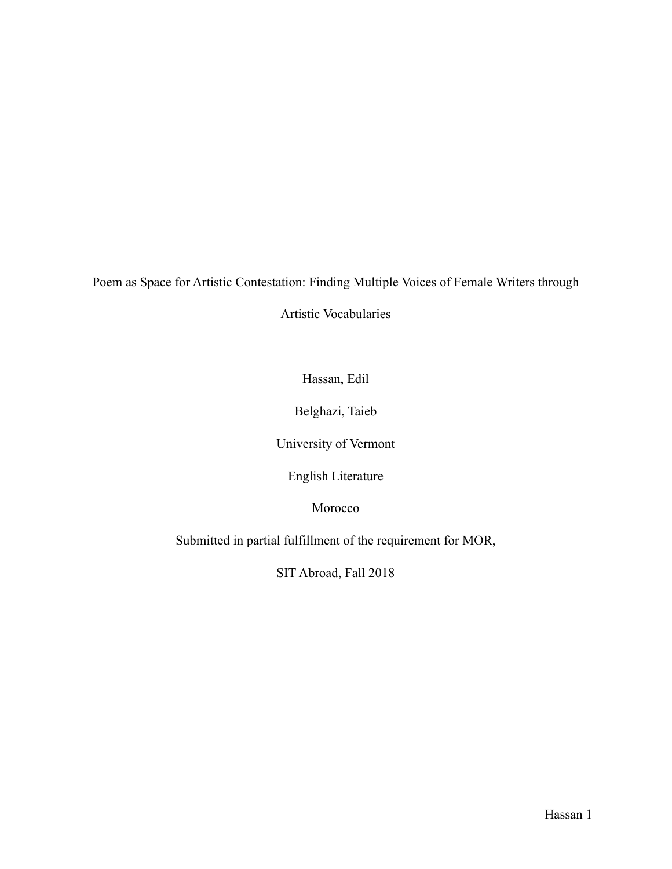Poem as Space for Artistic Contestation: Finding Multiple Voices of Female Writers through

Artistic Vocabularies

Hassan, Edil

Belghazi, Taieb

University of Vermont

English Literature

Morocco

Submitted in partial fulfillment of the requirement for MOR,

SIT Abroad, Fall 2018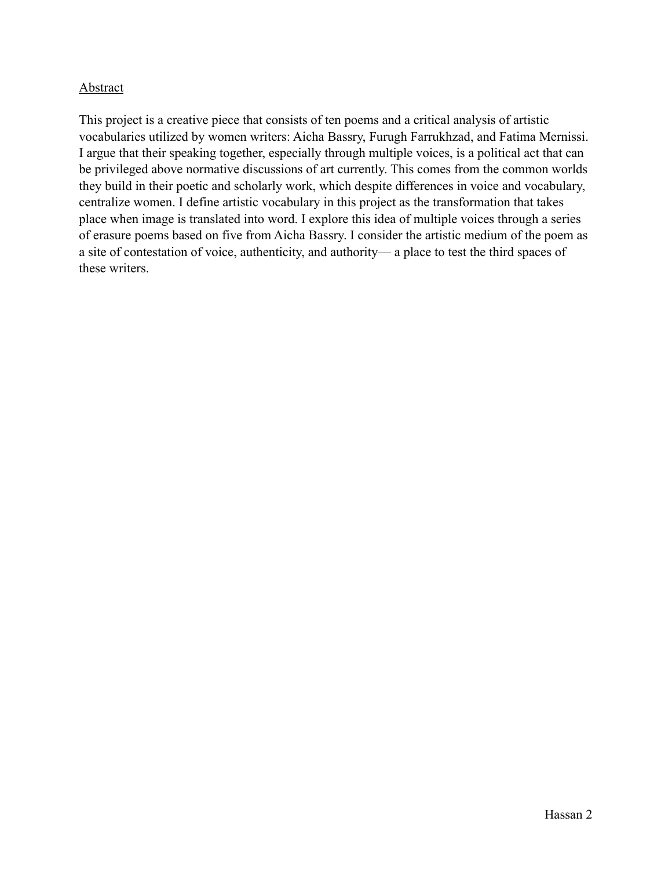## **Abstract**

This project is a creative piece that consists of ten poems and a critical analysis of artistic vocabularies utilized by women writers: Aicha Bassry, Furugh Farrukhzad, and Fatima Mernissi. I argue that their speaking together, especially through multiple voices, is a political act that can be privileged above normative discussions of art currently. This comes from the common worlds they build in their poetic and scholarly work, which despite differences in voice and vocabulary, centralize women. I define artistic vocabulary in this project as the transformation that takes place when image is translated into word. I explore this idea of multiple voices through a series of erasure poems based on five from Aicha Bassry. I consider the artistic medium of the poem as a site of contestation of voice, authenticity, and authority— a place to test the third spaces of these writers.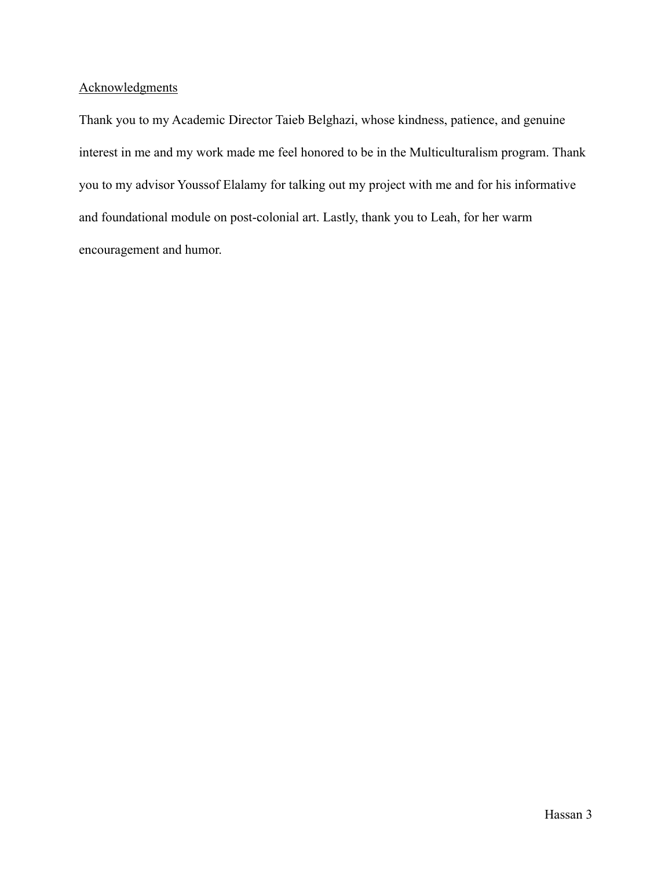### Acknowledgments

Thank you to my Academic Director Taieb Belghazi, whose kindness, patience, and genuine interest in me and my work made me feel honored to be in the Multiculturalism program. Thank you to my advisor Youssof Elalamy for talking out my project with me and for his informative and foundational module on post-colonial art. Lastly, thank you to Leah, for her warm encouragement and humor.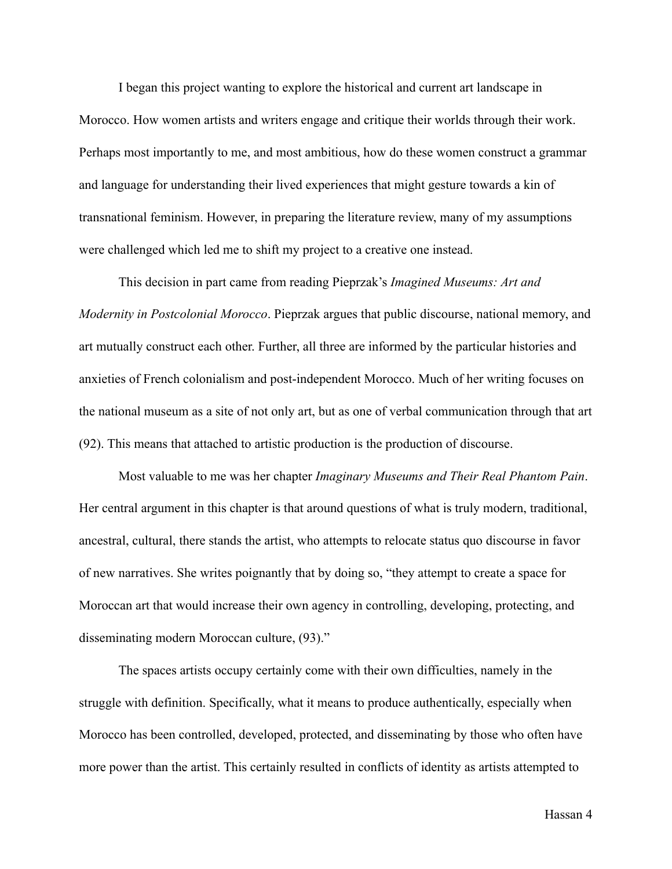I began this project wanting to explore the historical and current art landscape in Morocco. How women artists and writers engage and critique their worlds through their work. Perhaps most importantly to me, and most ambitious, how do these women construct a grammar and language for understanding their lived experiences that might gesture towards a kin of transnational feminism. However, in preparing the literature review, many of my assumptions were challenged which led me to shift my project to a creative one instead.

 This decision in part came from reading Pieprzak's *Imagined Museums: Art and Modernity in Postcolonial Morocco*. Pieprzak argues that public discourse, national memory, and art mutually construct each other. Further, all three are informed by the particular histories and anxieties of French colonialism and post-independent Morocco. Much of her writing focuses on the national museum as a site of not only art, but as one of verbal communication through that art (92). This means that attached to artistic production is the production of discourse.

 Most valuable to me was her chapter *Imaginary Museums and Their Real Phantom Pain*. Her central argument in this chapter is that around questions of what is truly modern, traditional, ancestral, cultural, there stands the artist, who attempts to relocate status quo discourse in favor of new narratives. She writes poignantly that by doing so, "they attempt to create a space for Moroccan art that would increase their own agency in controlling, developing, protecting, and disseminating modern Moroccan culture, (93)."

 The spaces artists occupy certainly come with their own difficulties, namely in the struggle with definition. Specifically, what it means to produce authentically, especially when Morocco has been controlled, developed, protected, and disseminating by those who often have more power than the artist. This certainly resulted in conflicts of identity as artists attempted to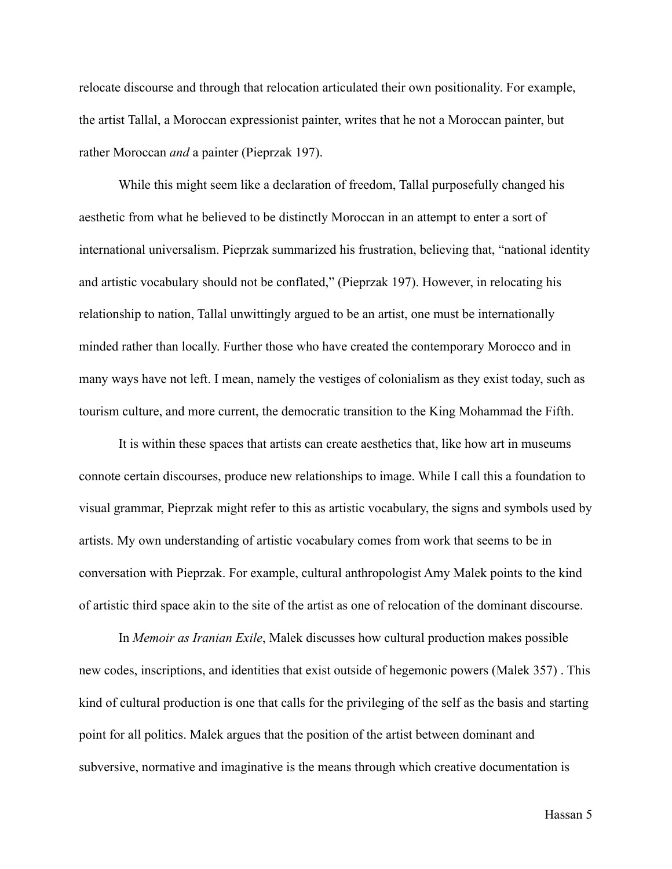relocate discourse and through that relocation articulated their own positionality. For example, the artist Tallal, a Moroccan expressionist painter, writes that he not a Moroccan painter, but rather Moroccan *and* a painter (Pieprzak 197).

 While this might seem like a declaration of freedom, Tallal purposefully changed his aesthetic from what he believed to be distinctly Moroccan in an attempt to enter a sort of international universalism. Pieprzak summarized his frustration, believing that, "national identity and artistic vocabulary should not be conflated," (Pieprzak 197). However, in relocating his relationship to nation, Tallal unwittingly argued to be an artist, one must be internationally minded rather than locally. Further those who have created the contemporary Morocco and in many ways have not left. I mean, namely the vestiges of colonialism as they exist today, such as tourism culture, and more current, the democratic transition to the King Mohammad the Fifth.

 It is within these spaces that artists can create aesthetics that, like how art in museums connote certain discourses, produce new relationships to image. While I call this a foundation to visual grammar, Pieprzak might refer to this as artistic vocabulary, the signs and symbols used by artists. My own understanding of artistic vocabulary comes from work that seems to be in conversation with Pieprzak. For example, cultural anthropologist Amy Malek points to the kind of artistic third space akin to the site of the artist as one of relocation of the dominant discourse.

 In *Memoir as Iranian Exile*, Malek discusses how cultural production makes possible new codes, inscriptions, and identities that exist outside of hegemonic powers (Malek 357) . This kind of cultural production is one that calls for the privileging of the self as the basis and starting point for all politics. Malek argues that the position of the artist between dominant and subversive, normative and imaginative is the means through which creative documentation is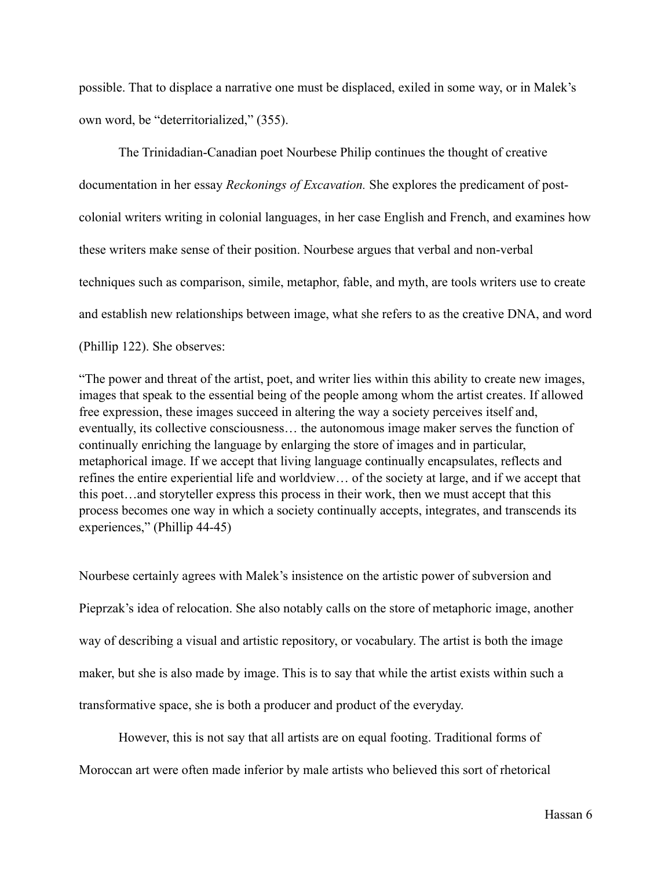possible. That to displace a narrative one must be displaced, exiled in some way, or in Malek's own word, be "deterritorialized," (355).

 The Trinidadian-Canadian poet Nourbese Philip continues the thought of creative documentation in her essay *Reckonings of Excavation.* She explores the predicament of postcolonial writers writing in colonial languages, in her case English and French, and examines how these writers make sense of their position. Nourbese argues that verbal and non-verbal techniques such as comparison, simile, metaphor, fable, and myth, are tools writers use to create and establish new relationships between image, what she refers to as the creative DNA, and word (Phillip 122). She observes:

"The power and threat of the artist, poet, and writer lies within this ability to create new images, images that speak to the essential being of the people among whom the artist creates. If allowed free expression, these images succeed in altering the way a society perceives itself and, eventually, its collective consciousness… the autonomous image maker serves the function of continually enriching the language by enlarging the store of images and in particular, metaphorical image. If we accept that living language continually encapsulates, reflects and refines the entire experiential life and worldview… of the society at large, and if we accept that this poet…and storyteller express this process in their work, then we must accept that this process becomes one way in which a society continually accepts, integrates, and transcends its experiences," (Phillip 44-45)

Nourbese certainly agrees with Malek's insistence on the artistic power of subversion and Pieprzak's idea of relocation. She also notably calls on the store of metaphoric image, another way of describing a visual and artistic repository, or vocabulary. The artist is both the image maker, but she is also made by image. This is to say that while the artist exists within such a transformative space, she is both a producer and product of the everyday.

 However, this is not say that all artists are on equal footing. Traditional forms of Moroccan art were often made inferior by male artists who believed this sort of rhetorical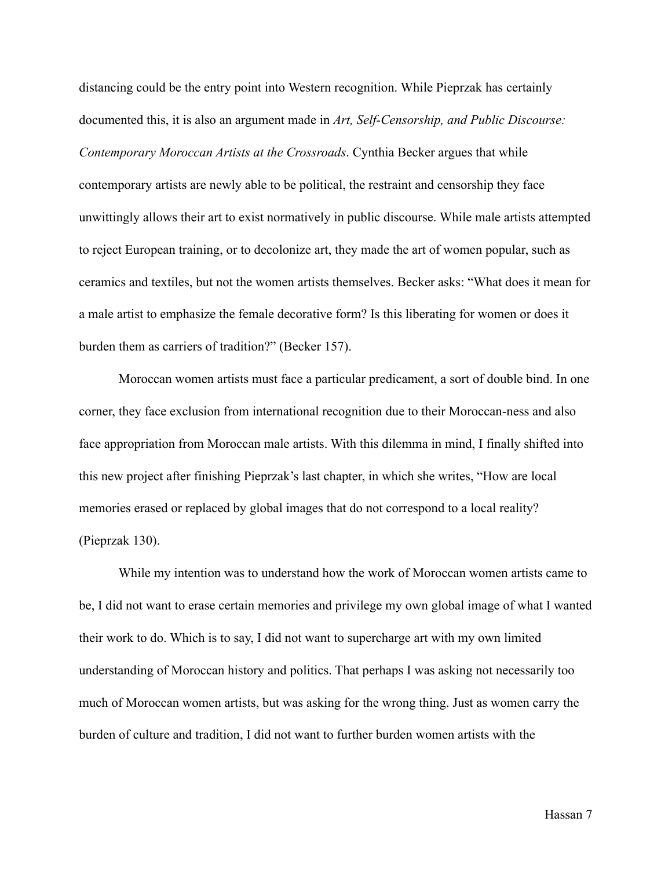distancing could be the entry point into Western recognition. While Pieprzak has certainly documented this, it is also an argument made in *Art, Self-Censorship, and Public Discourse: Contemporary Moroccan Artists at the Crossroads*. Cynthia Becker argues that while contemporary artists are newly able to be political, the restraint and censorship they face unwittingly allows their art to exist normatively in public discourse. While male artists attempted to reject European training, or to decolonize art, they made the art of women popular, such as ceramics and textiles, but not the women artists themselves. Becker asks: "What does it mean for a male artist to emphasize the female decorative form? Is this liberating for women or does it burden them as carriers of tradition?" (Becker 157).

 Moroccan women artists must face a particular predicament, a sort of double bind. In one corner, they face exclusion from international recognition due to their Moroccan-ness and also face appropriation from Moroccan male artists. With this dilemma in mind, I finally shifted into this new project after finishing Pieprzak's last chapter, in which she writes, "How are local memories erased or replaced by global images that do not correspond to a local reality? (Pieprzak 130).

 While my intention was to understand how the work of Moroccan women artists came to be, I did not want to erase certain memories and privilege my own global image of what I wanted their work to do. Which is to say, I did not want to supercharge art with my own limited understanding of Moroccan history and politics. That perhaps I was asking not necessarily too much of Moroccan women artists, but was asking for the wrong thing. Just as women carry the burden of culture and tradition, I did not want to further burden women artists with the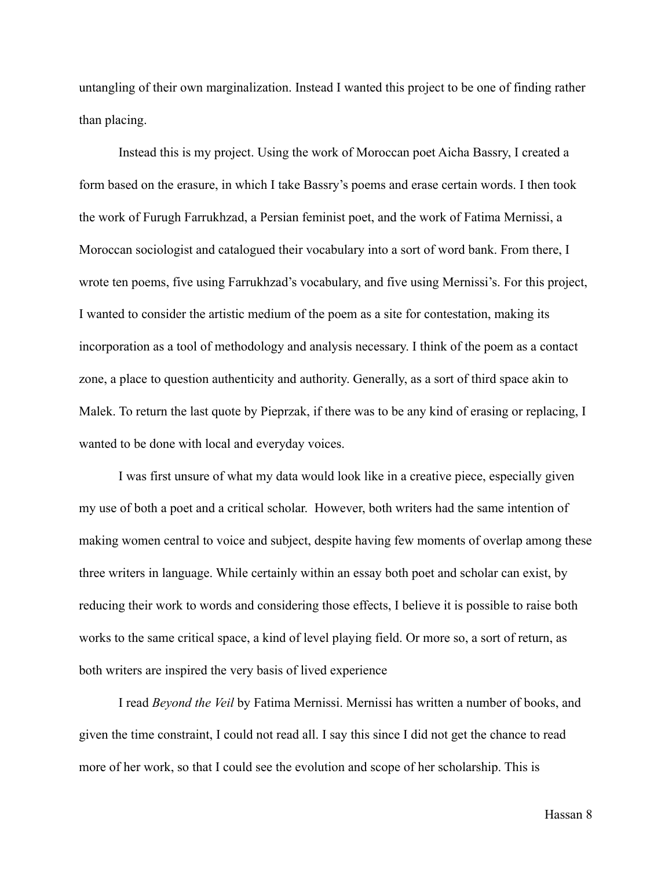untangling of their own marginalization. Instead I wanted this project to be one of finding rather than placing.

 Instead this is my project. Using the work of Moroccan poet Aicha Bassry, I created a form based on the erasure, in which I take Bassry's poems and erase certain words. I then took the work of Furugh Farrukhzad, a Persian feminist poet, and the work of Fatima Mernissi, a Moroccan sociologist and catalogued their vocabulary into a sort of word bank. From there, I wrote ten poems, five using Farrukhzad's vocabulary, and five using Mernissi's. For this project, I wanted to consider the artistic medium of the poem as a site for contestation, making its incorporation as a tool of methodology and analysis necessary. I think of the poem as a contact zone, a place to question authenticity and authority. Generally, as a sort of third space akin to Malek. To return the last quote by Pieprzak, if there was to be any kind of erasing or replacing, I wanted to be done with local and everyday voices.

 I was first unsure of what my data would look like in a creative piece, especially given my use of both a poet and a critical scholar. However, both writers had the same intention of making women central to voice and subject, despite having few moments of overlap among these three writers in language. While certainly within an essay both poet and scholar can exist, by reducing their work to words and considering those effects, I believe it is possible to raise both works to the same critical space, a kind of level playing field. Or more so, a sort of return, as both writers are inspired the very basis of lived experience

 I read *Beyond the Veil* by Fatima Mernissi. Mernissi has written a number of books, and given the time constraint, I could not read all. I say this since I did not get the chance to read more of her work, so that I could see the evolution and scope of her scholarship. This is

Hassan 8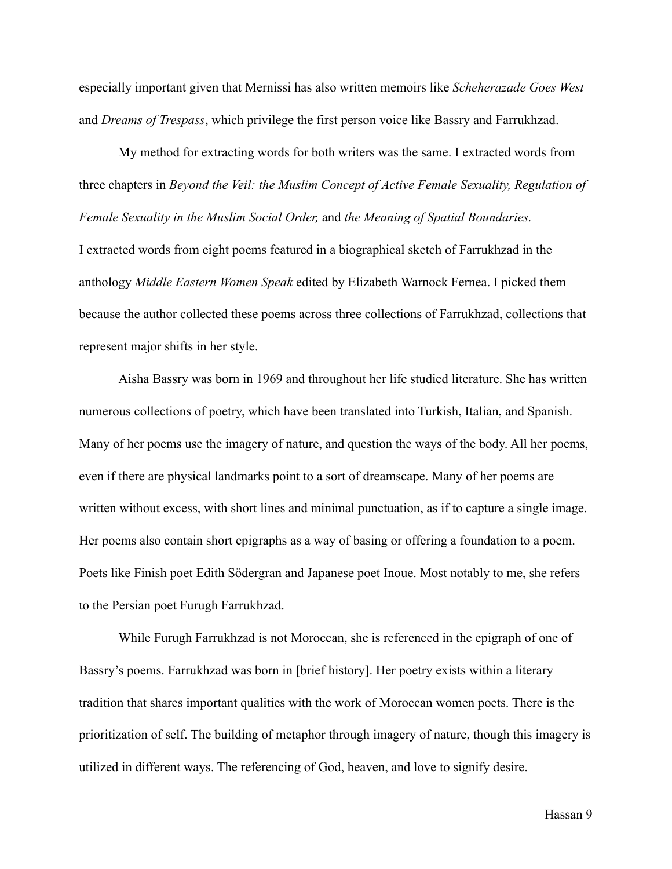especially important given that Mernissi has also written memoirs like *Scheherazade Goes West*  and *Dreams of Trespass*, which privilege the first person voice like Bassry and Farrukhzad.

 My method for extracting words for both writers was the same. I extracted words from three chapters in *Beyond the Veil: the Muslim Concept of Active Female Sexuality, Regulation of Female Sexuality in the Muslim Social Order,* and *the Meaning of Spatial Boundaries.* I extracted words from eight poems featured in a biographical sketch of Farrukhzad in the anthology *Middle Eastern Women Speak* edited by Elizabeth Warnock Fernea. I picked them because the author collected these poems across three collections of Farrukhzad, collections that represent major shifts in her style.

 Aisha Bassry was born in 1969 and throughout her life studied literature. She has written numerous collections of poetry, which have been translated into Turkish, Italian, and Spanish. Many of her poems use the imagery of nature, and question the ways of the body. All her poems, even if there are physical landmarks point to a sort of dreamscape. Many of her poems are written without excess, with short lines and minimal punctuation, as if to capture a single image. Her poems also contain short epigraphs as a way of basing or offering a foundation to a poem. Poets like Finish poet Edith Södergran and Japanese poet Inoue. Most notably to me, she refers to the Persian poet Furugh Farrukhzad.

 While Furugh Farrukhzad is not Moroccan, she is referenced in the epigraph of one of Bassry's poems. Farrukhzad was born in [brief history]. Her poetry exists within a literary tradition that shares important qualities with the work of Moroccan women poets. There is the prioritization of self. The building of metaphor through imagery of nature, though this imagery is utilized in different ways. The referencing of God, heaven, and love to signify desire.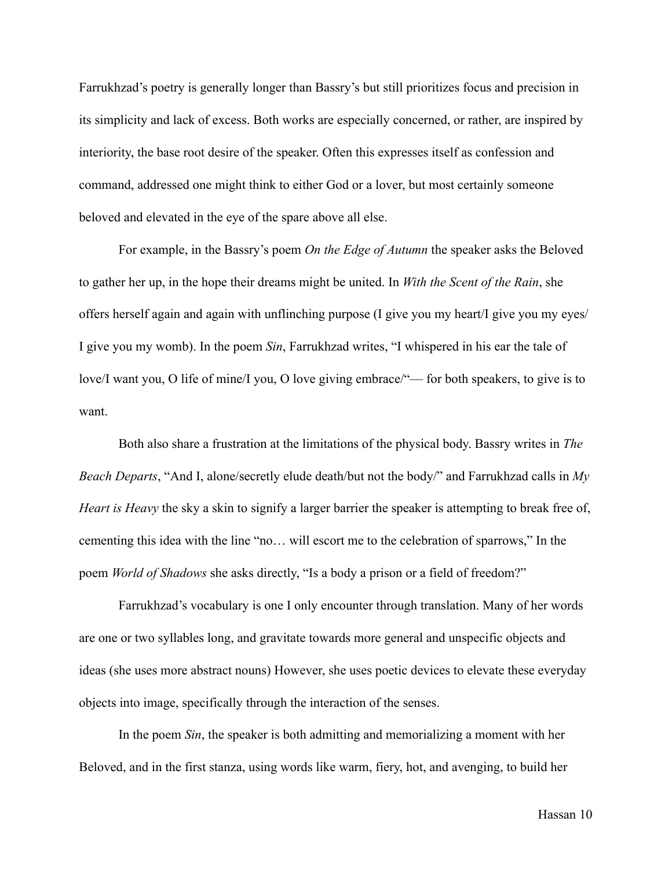Farrukhzad's poetry is generally longer than Bassry's but still prioritizes focus and precision in its simplicity and lack of excess. Both works are especially concerned, or rather, are inspired by interiority, the base root desire of the speaker. Often this expresses itself as confession and command, addressed one might think to either God or a lover, but most certainly someone beloved and elevated in the eye of the spare above all else.

 For example, in the Bassry's poem *On the Edge of Autumn* the speaker asks the Beloved to gather her up, in the hope their dreams might be united. In *With the Scent of the Rain*, she offers herself again and again with unflinching purpose (I give you my heart/I give you my eyes/ I give you my womb). In the poem *Sin*, Farrukhzad writes, "I whispered in his ear the tale of love/I want you, O life of mine/I you, O love giving embrace/"— for both speakers, to give is to want.

 Both also share a frustration at the limitations of the physical body. Bassry writes in *The Beach Departs*, "And I, alone/secretly elude death/but not the body/" and Farrukhzad calls in *My Heart is Heavy* the sky a skin to signify a larger barrier the speaker is attempting to break free of, cementing this idea with the line "no… will escort me to the celebration of sparrows," In the poem *World of Shadows* she asks directly, "Is a body a prison or a field of freedom?"

 Farrukhzad's vocabulary is one I only encounter through translation. Many of her words are one or two syllables long, and gravitate towards more general and unspecific objects and ideas (she uses more abstract nouns) However, she uses poetic devices to elevate these everyday objects into image, specifically through the interaction of the senses.

 In the poem *Sin*, the speaker is both admitting and memorializing a moment with her Beloved, and in the first stanza, using words like warm, fiery, hot, and avenging, to build her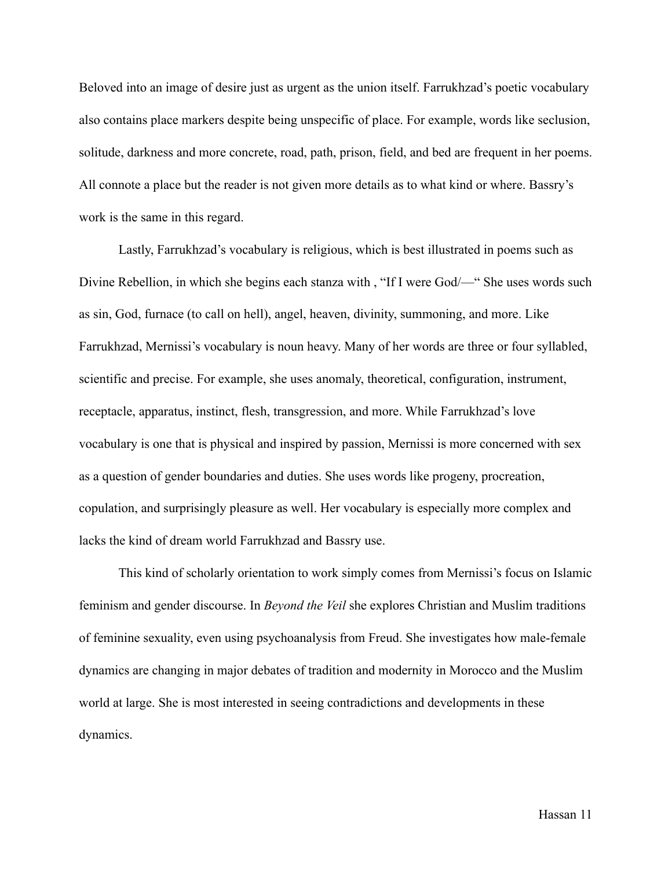Beloved into an image of desire just as urgent as the union itself. Farrukhzad's poetic vocabulary also contains place markers despite being unspecific of place. For example, words like seclusion, solitude, darkness and more concrete, road, path, prison, field, and bed are frequent in her poems. All connote a place but the reader is not given more details as to what kind or where. Bassry's work is the same in this regard.

 Lastly, Farrukhzad's vocabulary is religious, which is best illustrated in poems such as Divine Rebellion, in which she begins each stanza with , "If I were God/—" She uses words such as sin, God, furnace (to call on hell), angel, heaven, divinity, summoning, and more. Like Farrukhzad, Mernissi's vocabulary is noun heavy. Many of her words are three or four syllabled, scientific and precise. For example, she uses anomaly, theoretical, configuration, instrument, receptacle, apparatus, instinct, flesh, transgression, and more. While Farrukhzad's love vocabulary is one that is physical and inspired by passion, Mernissi is more concerned with sex as a question of gender boundaries and duties. She uses words like progeny, procreation, copulation, and surprisingly pleasure as well. Her vocabulary is especially more complex and lacks the kind of dream world Farrukhzad and Bassry use.

 This kind of scholarly orientation to work simply comes from Mernissi's focus on Islamic feminism and gender discourse. In *Beyond the Veil* she explores Christian and Muslim traditions of feminine sexuality, even using psychoanalysis from Freud. She investigates how male-female dynamics are changing in major debates of tradition and modernity in Morocco and the Muslim world at large. She is most interested in seeing contradictions and developments in these dynamics.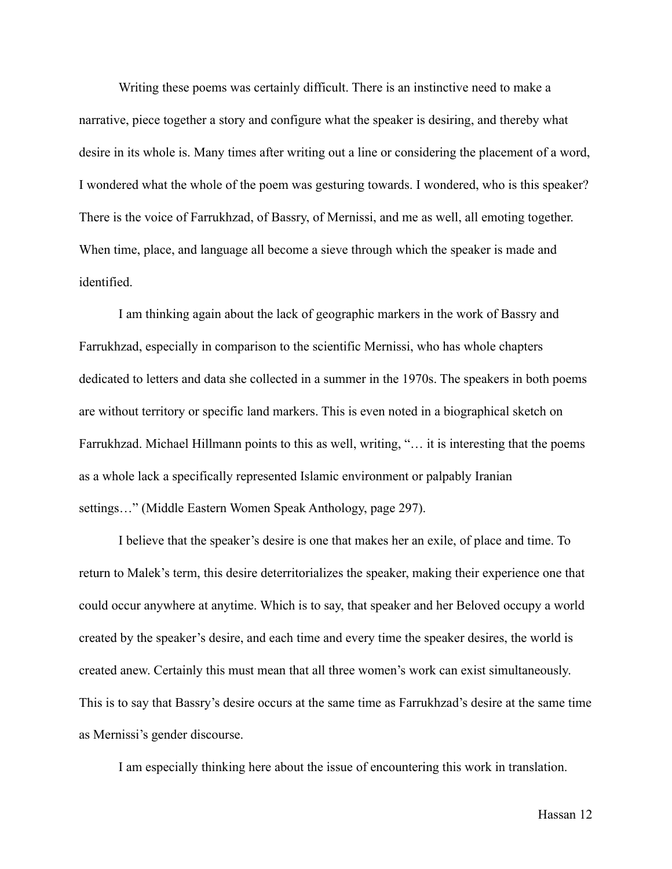Writing these poems was certainly difficult. There is an instinctive need to make a narrative, piece together a story and configure what the speaker is desiring, and thereby what desire in its whole is. Many times after writing out a line or considering the placement of a word, I wondered what the whole of the poem was gesturing towards. I wondered, who is this speaker? There is the voice of Farrukhzad, of Bassry, of Mernissi, and me as well, all emoting together. When time, place, and language all become a sieve through which the speaker is made and identified.

 I am thinking again about the lack of geographic markers in the work of Bassry and Farrukhzad, especially in comparison to the scientific Mernissi, who has whole chapters dedicated to letters and data she collected in a summer in the 1970s. The speakers in both poems are without territory or specific land markers. This is even noted in a biographical sketch on Farrukhzad. Michael Hillmann points to this as well, writing, "… it is interesting that the poems as a whole lack a specifically represented Islamic environment or palpably Iranian settings…" (Middle Eastern Women Speak Anthology, page 297).

 I believe that the speaker's desire is one that makes her an exile, of place and time. To return to Malek's term, this desire deterritorializes the speaker, making their experience one that could occur anywhere at anytime. Which is to say, that speaker and her Beloved occupy a world created by the speaker's desire, and each time and every time the speaker desires, the world is created anew. Certainly this must mean that all three women's work can exist simultaneously. This is to say that Bassry's desire occurs at the same time as Farrukhzad's desire at the same time as Mernissi's gender discourse.

I am especially thinking here about the issue of encountering this work in translation.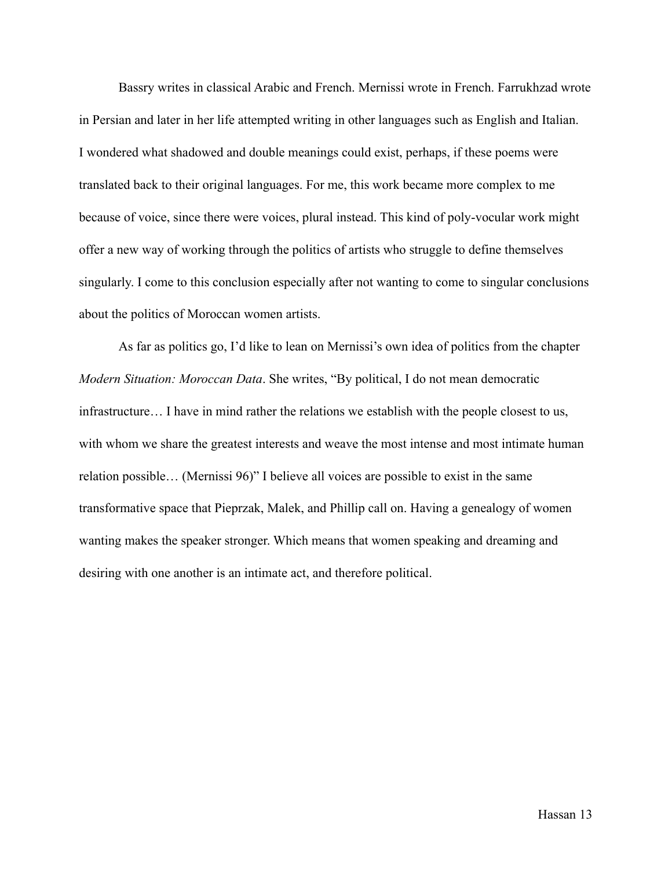Bassry writes in classical Arabic and French. Mernissi wrote in French. Farrukhzad wrote in Persian and later in her life attempted writing in other languages such as English and Italian. I wondered what shadowed and double meanings could exist, perhaps, if these poems were translated back to their original languages. For me, this work became more complex to me because of voice, since there were voices, plural instead. This kind of poly-vocular work might offer a new way of working through the politics of artists who struggle to define themselves singularly. I come to this conclusion especially after not wanting to come to singular conclusions about the politics of Moroccan women artists.

 As far as politics go, I'd like to lean on Mernissi's own idea of politics from the chapter *Modern Situation: Moroccan Data*. She writes, "By political, I do not mean democratic infrastructure… I have in mind rather the relations we establish with the people closest to us, with whom we share the greatest interests and weave the most intense and most intimate human relation possible… (Mernissi 96)" I believe all voices are possible to exist in the same transformative space that Pieprzak, Malek, and Phillip call on. Having a genealogy of women wanting makes the speaker stronger. Which means that women speaking and dreaming and desiring with one another is an intimate act, and therefore political.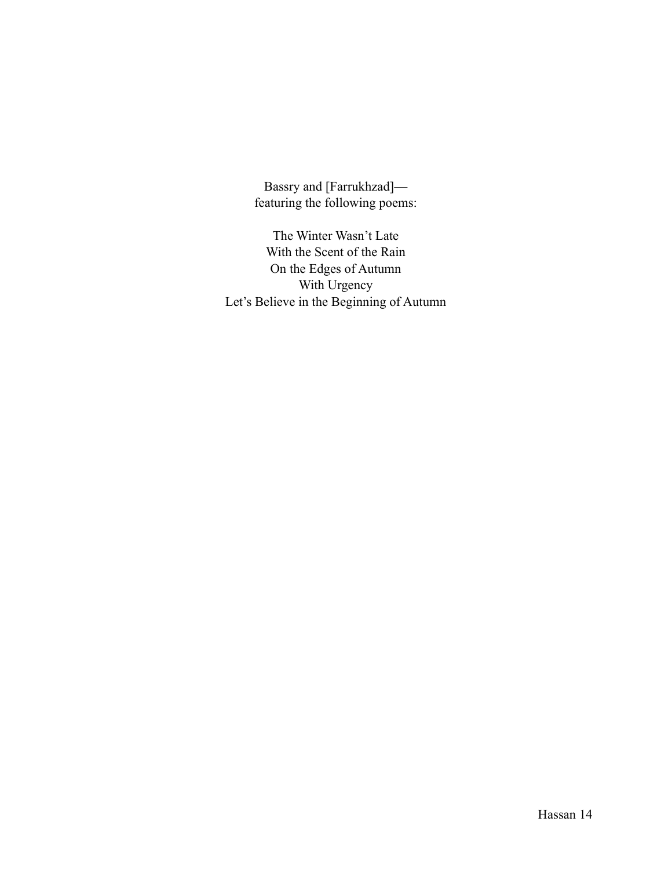Bassry and [Farrukhzad] featuring the following poems:

The Winter Wasn't Late With the Scent of the Rain On the Edges of Autumn With Urgency Let's Believe in the Beginning of Autumn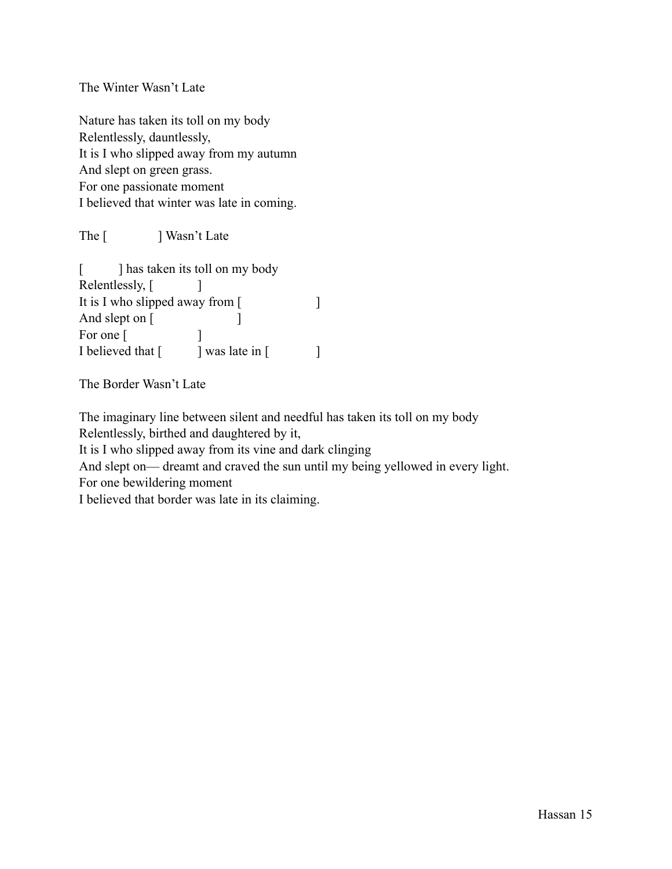The Winter Wasn't Late

Nature has taken its toll on my body Relentlessly, dauntlessly, It is I who slipped away from my autumn And slept on green grass. For one passionate moment I believed that winter was late in coming.

The [ ] Wasn't Late

[ ] has taken its toll on my body Relentlessly, [ ] It is I who slipped away from [ And slept on [ For one [ ] I believed that  $\begin{bmatrix} \cdot & \cdot & \cdot \\ \cdot & \cdot & \cdot \\ \cdot & \cdot & \cdot \end{bmatrix}$ 

The Border Wasn't Late

The imaginary line between silent and needful has taken its toll on my body Relentlessly, birthed and daughtered by it, It is I who slipped away from its vine and dark clinging And slept on— dreamt and craved the sun until my being yellowed in every light. For one bewildering moment I believed that border was late in its claiming.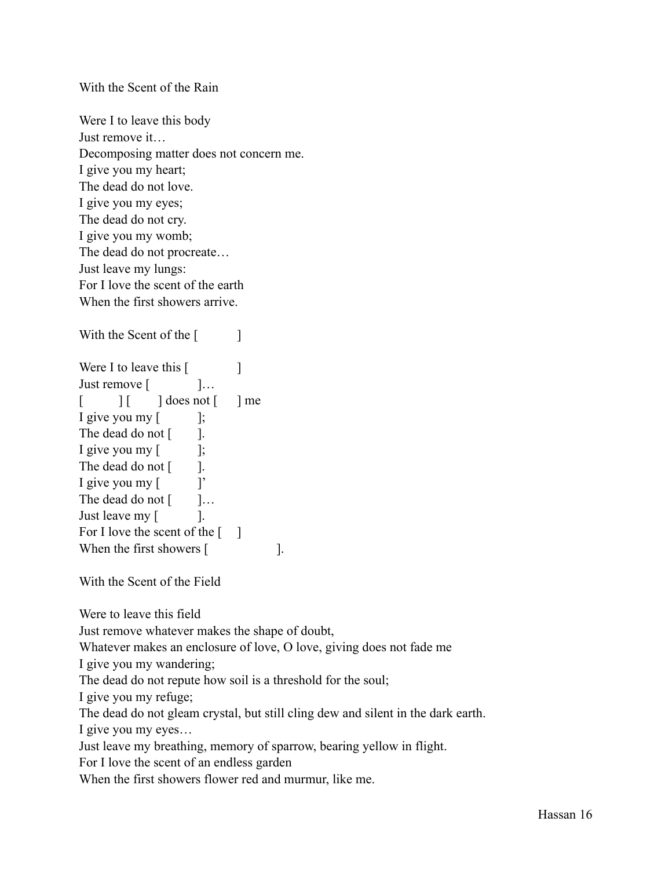With the Scent of the Rain

Were I to leave this body Just remove it… Decomposing matter does not concern me. I give you my heart; The dead do not love. I give you my eyes; The dead do not cry. I give you my womb; The dead do not procreate… Just leave my lungs: For I love the scent of the earth When the first showers arrive.

With the Scent of the [ ] Were I to leave this  $\begin{bmatrix} \end{bmatrix}$ Just remove [  $\qquad$  ]...  $\begin{bmatrix} \quad & \quad \end{bmatrix}$   $\begin{bmatrix} \quad & \quad \end{bmatrix}$  does not  $\begin{bmatrix} \quad & \quad \end{bmatrix}$  me I give you my  $\lceil$   $\qquad$   $\rceil$ ; The dead do not [ ]. I give you my  $\lceil$   $\qquad$  ]; The dead do not  $\lceil \cdot \cdot \rceil$ . I give you my [ ]' The dead do not  $\begin{bmatrix} 1 & \cdots & \cdots & 1 \end{bmatrix}$ Just leave my [ ]. For I love the scent of the  $\lceil \quad \rceil$ When the first showers [ ].

With the Scent of the Field

Were to leave this field

Just remove whatever makes the shape of doubt,

Whatever makes an enclosure of love, O love, giving does not fade me

I give you my wandering;

The dead do not repute how soil is a threshold for the soul;

I give you my refuge;

The dead do not gleam crystal, but still cling dew and silent in the dark earth.

I give you my eyes…

Just leave my breathing, memory of sparrow, bearing yellow in flight.

For I love the scent of an endless garden

When the first showers flower red and murmur, like me.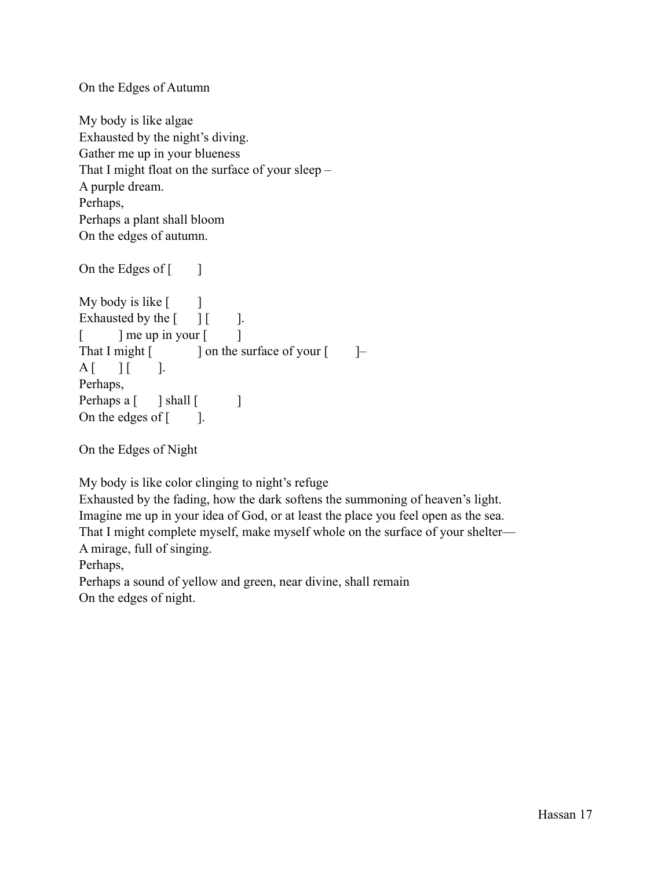On the Edges of Autumn

My body is like algae Exhausted by the night's diving. Gather me up in your blueness That I might float on the surface of your sleep – A purple dream. Perhaps, Perhaps a plant shall bloom On the edges of autumn.

On the Edges of  $\lceil \cdot \cdot \rceil$ My body is like  $[$   $]$ Exhausted by the  $\begin{bmatrix} 1 & 1 \end{bmatrix}$ .  $\lceil$  ] me up in your  $\lceil$  ] That I might  $\lceil \cdot \cdot \cdot \rceil$  on the surface of your  $\lceil \cdot \cdot \rceil$  $A$   $\begin{bmatrix} \quad & \quad \end{bmatrix}$   $\begin{bmatrix} \quad & \quad \quad \end{bmatrix}$ . Perhaps, Perhaps a [ ] shall [ ] On the edges of  $\lceil \cdot \cdot \rceil$ .

On the Edges of Night

My body is like color clinging to night's refuge

Exhausted by the fading, how the dark softens the summoning of heaven's light. Imagine me up in your idea of God, or at least the place you feel open as the sea. That I might complete myself, make myself whole on the surface of your shelter— A mirage, full of singing.

Perhaps,

Perhaps a sound of yellow and green, near divine, shall remain On the edges of night.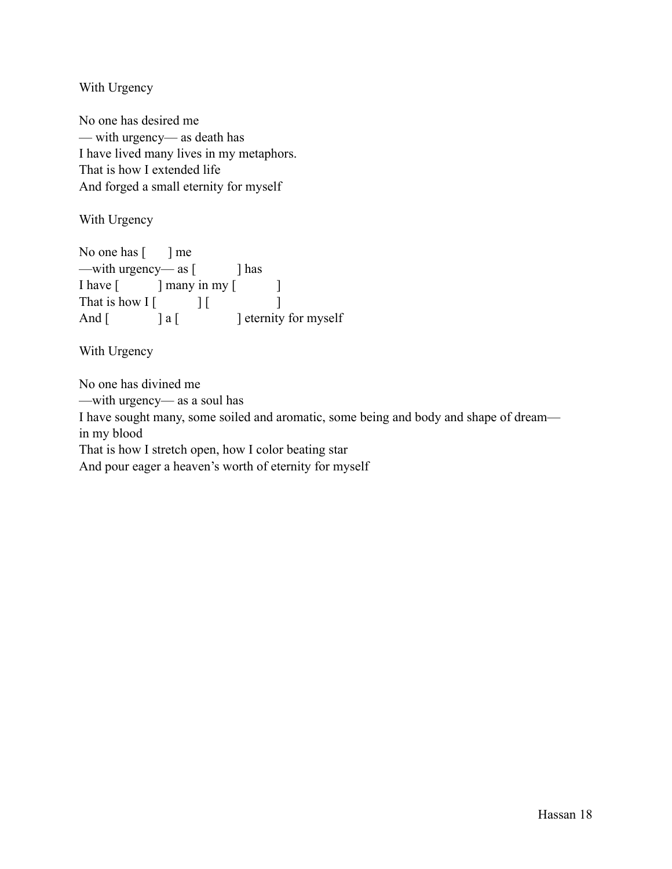With Urgency

No one has desired me — with urgency— as death has I have lived many lives in my metaphors. That is how I extended life And forged a small eternity for myself

With Urgency

No one has  $[\ ]$  me —with urgency— as [ ] has I have [ ] many in my [ ] That is how  $\begin{bmatrix} \begin{bmatrix} 1 & 1 \end{bmatrix} \end{bmatrix}$ And [ ] a [ ] eternity for myself

With Urgency

No one has divined me —with urgency— as a soul has I have sought many, some soiled and aromatic, some being and body and shape of dream in my blood That is how I stretch open, how I color beating star And pour eager a heaven's worth of eternity for myself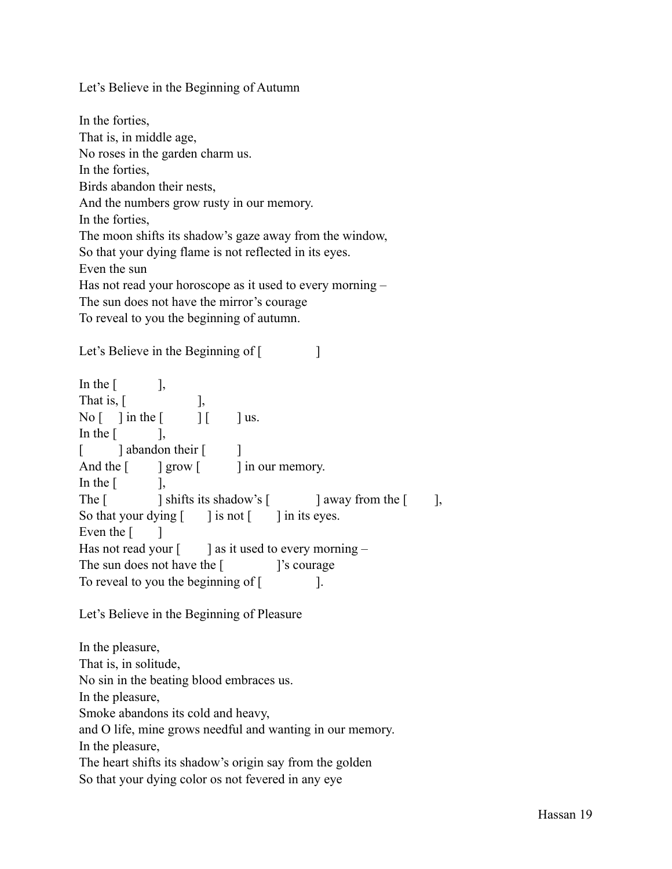Let's Believe in the Beginning of Autumn

In the forties, That is, in middle age, No roses in the garden charm us. In the forties, Birds abandon their nests, And the numbers grow rusty in our memory. In the forties, The moon shifts its shadow's gaze away from the window, So that your dying flame is not reflected in its eyes. Even the sun Has not read your horoscope as it used to every morning – The sun does not have the mirror's courage To reveal to you the beginning of autumn.

Let's Believe in the Beginning of [

In the  $\lceil \cdot \cdot \cdot \rceil$ , That is,  $\begin{bmatrix} \cdot & \cdot & \cdot \\ \cdot & \cdot & \cdot \\ \cdot & \cdot & \cdot \end{bmatrix}$  $\text{No} \begin{bmatrix} \quad \\ \quad \end{bmatrix}$  in the  $\begin{bmatrix} \quad \\ \quad \end{bmatrix}$   $\begin{bmatrix} \quad \\ \quad \end{bmatrix}$  us. In the  $\begin{bmatrix} 1 & 1 \\ 1 & 1 \end{bmatrix}$ [ ] abandon their [ ] And the  $\lceil \cdot \cdot \rceil$  grow  $\lceil \cdot \cdot \rceil$  in our memory. In the  $\begin{bmatrix} 1 & 1 \\ 1 & 1 \end{bmatrix}$ The  $\lceil \cdot \cdot \rceil$  shifts its shadow's  $\lceil \cdot \cdot \rceil$  away from the  $\lceil \cdot \cdot \rceil$ , So that your dying  $\lceil \cdot \cdot \rceil$  is not  $\lceil \cdot \cdot \rceil$  in its eyes. Even the  $\lceil \cdot \cdot \rceil$ Has not read your  $\lceil \cdot \cdot \rceil$  as it used to every morning – The sun does not have the [ ]'s courage To reveal to you the beginning of [

Let's Believe in the Beginning of Pleasure

In the pleasure, That is, in solitude, No sin in the beating blood embraces us. In the pleasure, Smoke abandons its cold and heavy, and O life, mine grows needful and wanting in our memory. In the pleasure, The heart shifts its shadow's origin say from the golden So that your dying color os not fevered in any eye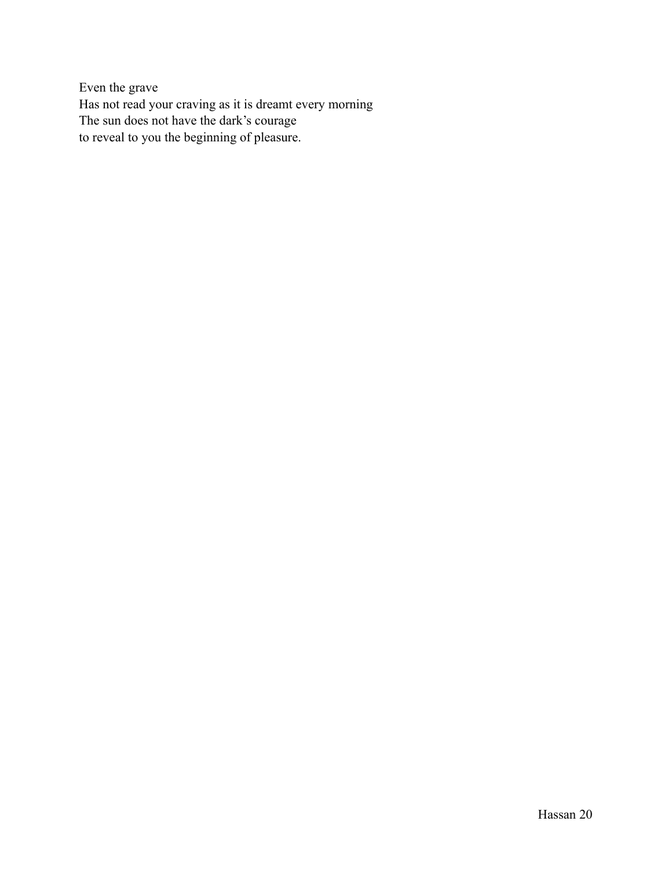Even the grave Has not read your craving as it is dreamt every morning The sun does not have the dark's courage to reveal to you the beginning of pleasure.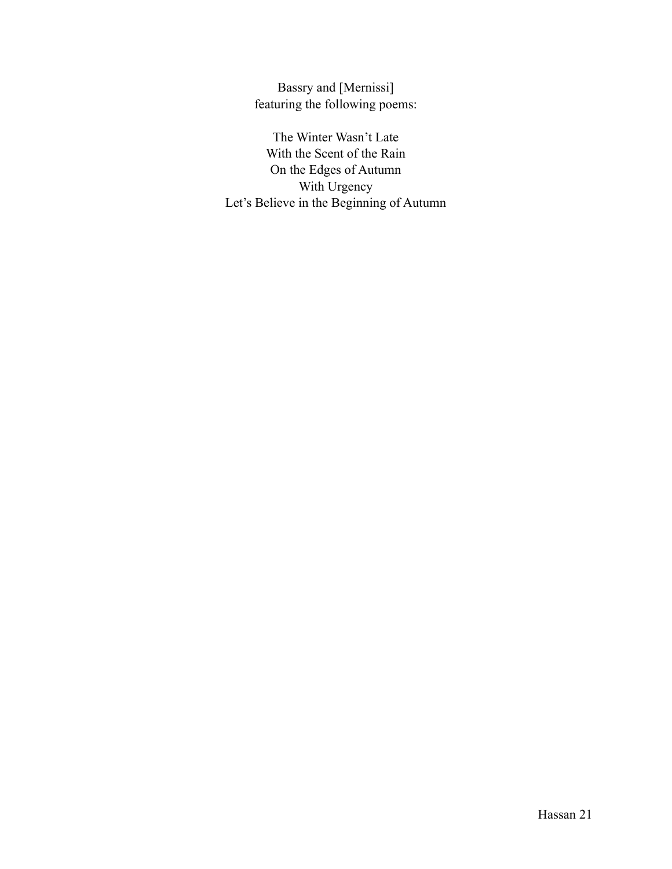Bassry and [Mernissi] featuring the following poems:

The Winter Wasn't Late With the Scent of the Rain On the Edges of Autumn With Urgency Let's Believe in the Beginning of Autumn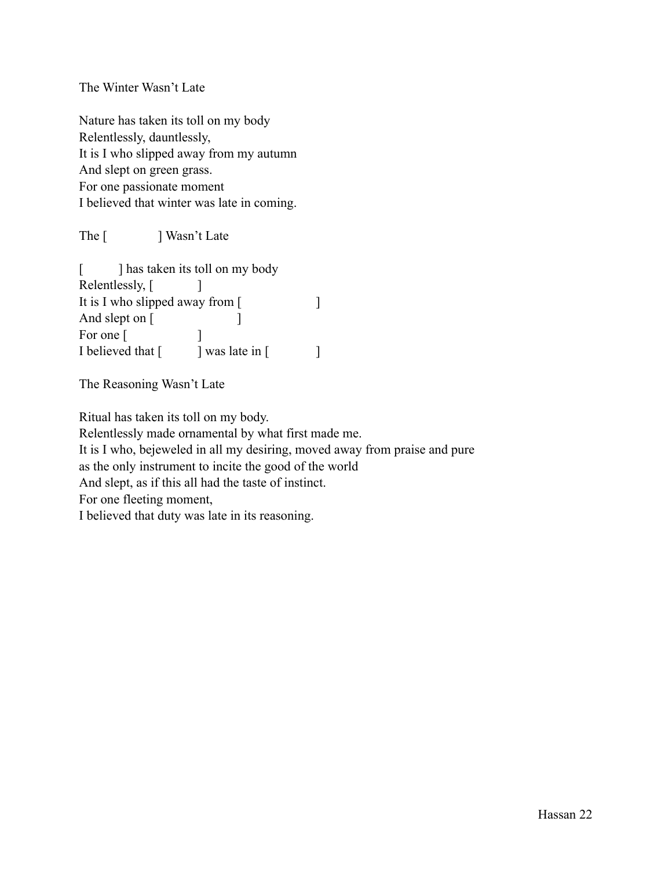The Winter Wasn't Late

Nature has taken its toll on my body Relentlessly, dauntlessly, It is I who slipped away from my autumn And slept on green grass. For one passionate moment I believed that winter was late in coming.

The [ ] Wasn't Late

[ ] has taken its toll on my body Relentlessly, [ ] It is I who slipped away from [ And slept on [ For one [ ] I believed that  $\begin{bmatrix} \cdot & \cdot & \cdot \\ \cdot & \cdot & \cdot \\ \cdot & \cdot & \cdot \end{bmatrix}$ 

The Reasoning Wasn't Late

Ritual has taken its toll on my body.

Relentlessly made ornamental by what first made me.

It is I who, bejeweled in all my desiring, moved away from praise and pure

as the only instrument to incite the good of the world

And slept, as if this all had the taste of instinct.

For one fleeting moment,

I believed that duty was late in its reasoning.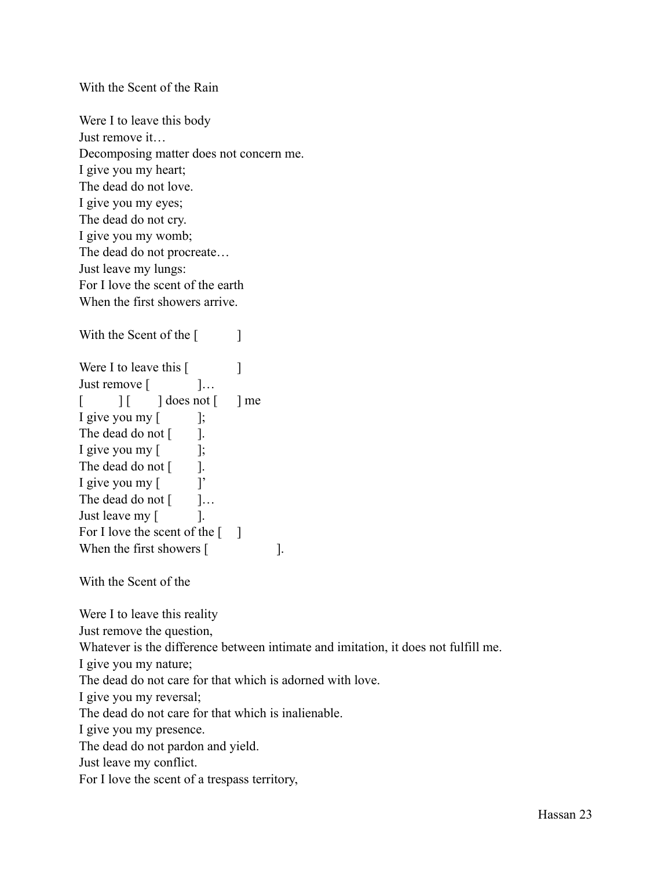With the Scent of the Rain

Were I to leave this body Just remove it… Decomposing matter does not concern me. I give you my heart; The dead do not love. I give you my eyes; The dead do not cry. I give you my womb; The dead do not procreate… Just leave my lungs: For I love the scent of the earth When the first showers arrive.

Were I to leave this [ Just remove [  $\qquad$  ]...  $\begin{bmatrix} \quad & \quad \end{bmatrix}$   $\begin{bmatrix} \quad & \quad \end{bmatrix}$  does not  $\begin{bmatrix} \quad & \quad \end{bmatrix}$  me I give you my  $\lceil$   $\qquad$   $\rceil$ ; The dead do not [ ]. I give you my [ ]; The dead do not [ ]. I give you my [ ]' The dead do not  $\begin{bmatrix} 1 & \cdots & \cdots & 1 \end{bmatrix}$ Just leave my [ ]. For I love the scent of the  $\lceil \quad \rceil$ When the first showers [ ].

With the Scent of the [ ]

With the Scent of the

Were I to leave this reality

Just remove the question,

Whatever is the difference between intimate and imitation, it does not fulfill me.

I give you my nature;

The dead do not care for that which is adorned with love.

I give you my reversal;

The dead do not care for that which is inalienable.

I give you my presence.

The dead do not pardon and yield.

Just leave my conflict.

For I love the scent of a trespass territory,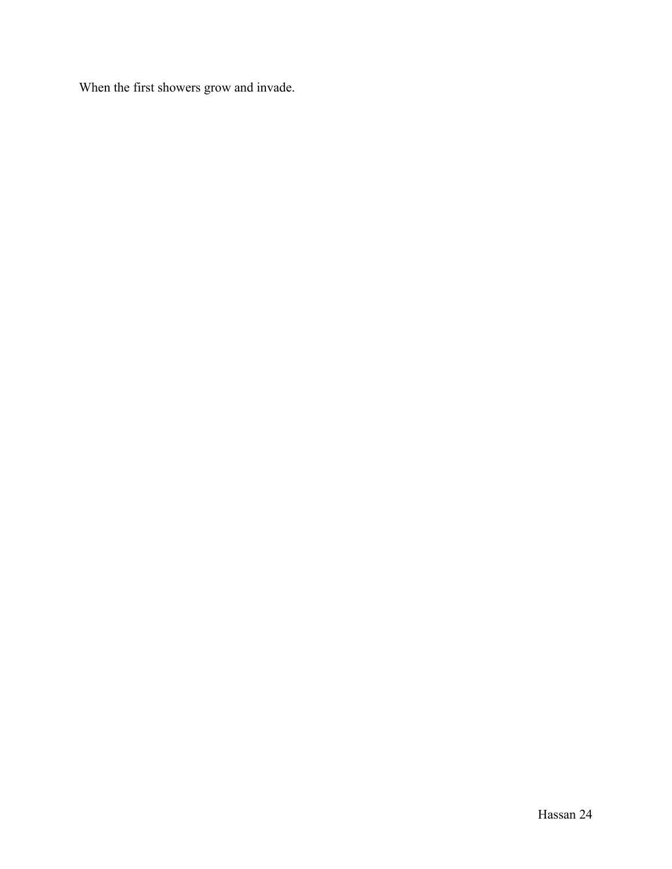When the first showers grow and invade.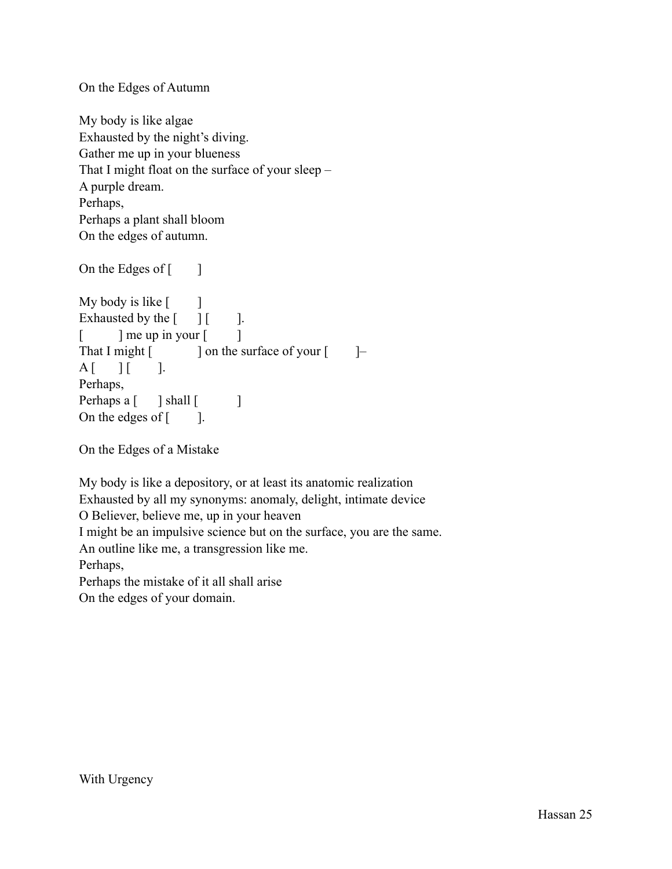On the Edges of Autumn

My body is like algae Exhausted by the night's diving. Gather me up in your blueness That I might float on the surface of your sleep – A purple dream. Perhaps, Perhaps a plant shall bloom On the edges of autumn.

On the Edges of  $\lceil \cdot \cdot \rceil$ My body is like  $\lceil \cdot \cdot \rceil$ Exhausted by the  $[$   $]$   $[$   $]$ .  $\lceil$  ] me up in your  $\lceil$  ] That I might  $\lceil \cdot \cdot \cdot \rceil$  on the surface of your  $\lceil \cdot \cdot \rceil$  $A$   $\begin{bmatrix} \quad & \quad \end{bmatrix}$   $\begin{bmatrix} \quad & \quad \quad \end{bmatrix}$ . Perhaps, Perhaps a [ ] shall [ ] On the edges of  $\lceil \cdot \cdot \rceil$ .

On the Edges of a Mistake

My body is like a depository, or at least its anatomic realization Exhausted by all my synonyms: anomaly, delight, intimate device O Believer, believe me, up in your heaven I might be an impulsive science but on the surface, you are the same. An outline like me, a transgression like me. Perhaps, Perhaps the mistake of it all shall arise On the edges of your domain.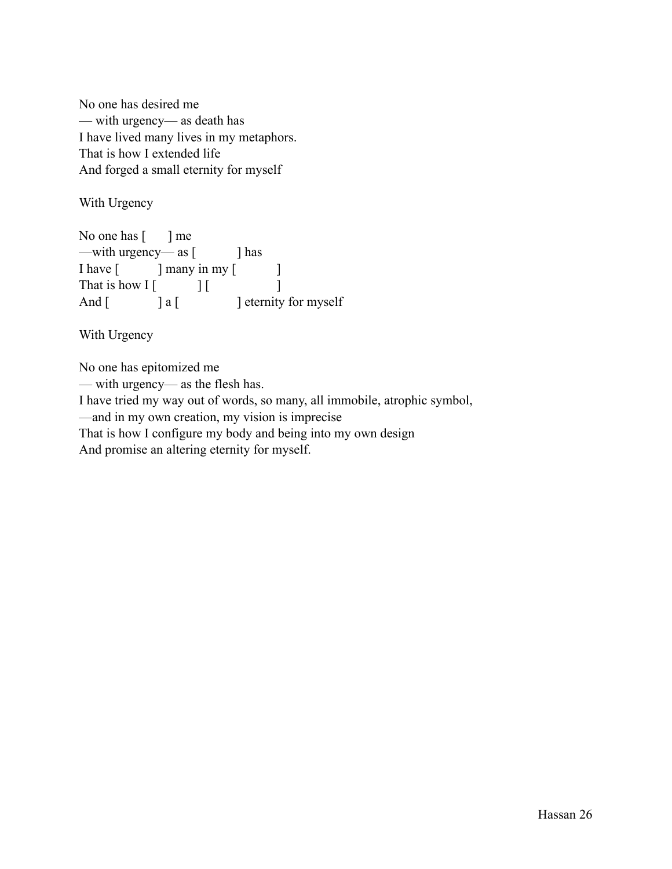No one has desired me — with urgency— as death has I have lived many lives in my metaphors. That is how I extended life And forged a small eternity for myself

With Urgency

No one has  $\lceil \cdot \cdot \rceil$  me —with urgency— as [ ] has I have [ ] many in my [ ] That is how  $\begin{bmatrix} 1 & 1 \end{bmatrix}$ And  $\begin{bmatrix} 1 & 0 \\ 0 & 1 \end{bmatrix}$  a  $\begin{bmatrix} 1 & 0 \\ 0 & 1 \end{bmatrix}$  eternity for myself

With Urgency

No one has epitomized me — with urgency— as the flesh has. I have tried my way out of words, so many, all immobile, atrophic symbol, —and in my own creation, my vision is imprecise That is how I configure my body and being into my own design And promise an altering eternity for myself.